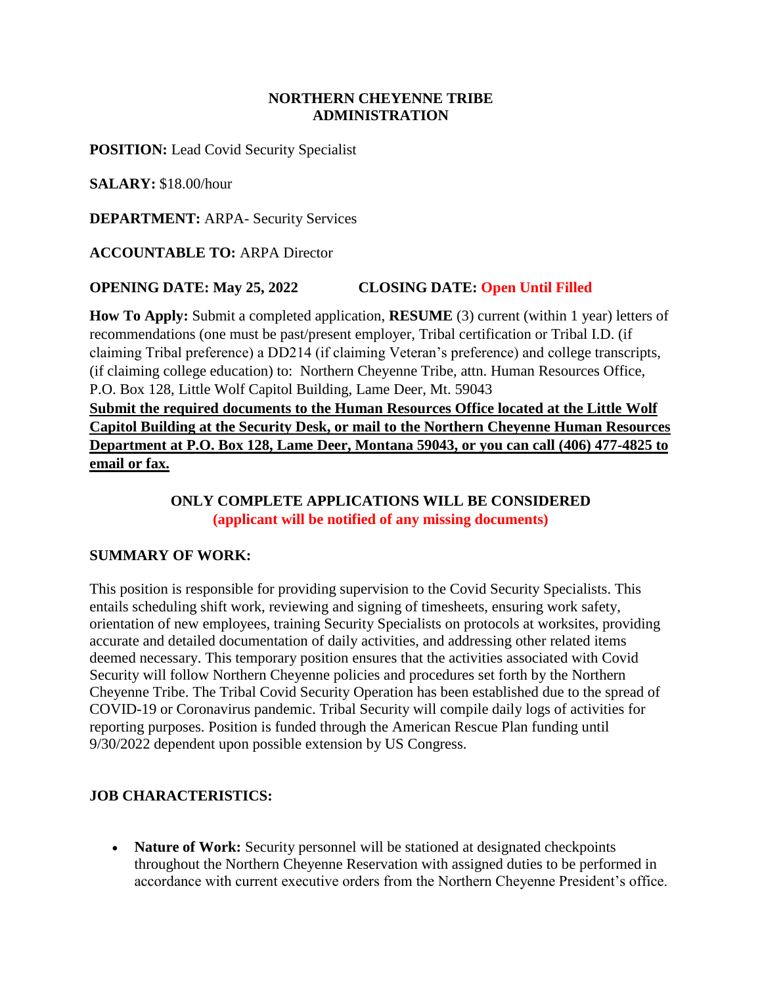#### **NORTHERN CHEYENNE TRIBE ADMINISTRATION**

**POSITION:** Lead Covid Security Specialist

**SALARY:** \$18.00/hour

**DEPARTMENT:** ARPA- Security Services

### **ACCOUNTABLE TO:** ARPA Director

#### **OPENING DATE: May 25, 2022 CLOSING DATE: Open Until Filled**

**How To Apply:** Submit a completed application, **RESUME** (3) current (within 1 year) letters of recommendations (one must be past/present employer, Tribal certification or Tribal I.D. (if claiming Tribal preference) a DD214 (if claiming Veteran's preference) and college transcripts, (if claiming college education) to: Northern Cheyenne Tribe, attn. Human Resources Office, P.O. Box 128, Little Wolf Capitol Building, Lame Deer, Mt. 59043

**Submit the required documents to the Human Resources Office located at the Little Wolf Capitol Building at the Security Desk, or mail to the Northern Cheyenne Human Resources Department at P.O. Box 128, Lame Deer, Montana 59043, or you can call (406) 477-4825 to email or fax.**

### **ONLY COMPLETE APPLICATIONS WILL BE CONSIDERED (applicant will be notified of any missing documents)**

#### **SUMMARY OF WORK:**

This position is responsible for providing supervision to the Covid Security Specialists. This entails scheduling shift work, reviewing and signing of timesheets, ensuring work safety, orientation of new employees, training Security Specialists on protocols at worksites, providing accurate and detailed documentation of daily activities, and addressing other related items deemed necessary. This temporary position ensures that the activities associated with Covid Security will follow Northern Cheyenne policies and procedures set forth by the Northern Cheyenne Tribe. The Tribal Covid Security Operation has been established due to the spread of COVID-19 or Coronavirus pandemic. Tribal Security will compile daily logs of activities for reporting purposes. Position is funded through the American Rescue Plan funding until 9/30/2022 dependent upon possible extension by US Congress.

### **JOB CHARACTERISTICS:**

• **Nature of Work:** Security personnel will be stationed at designated checkpoints throughout the Northern Cheyenne Reservation with assigned duties to be performed in accordance with current executive orders from the Northern Cheyenne President's office.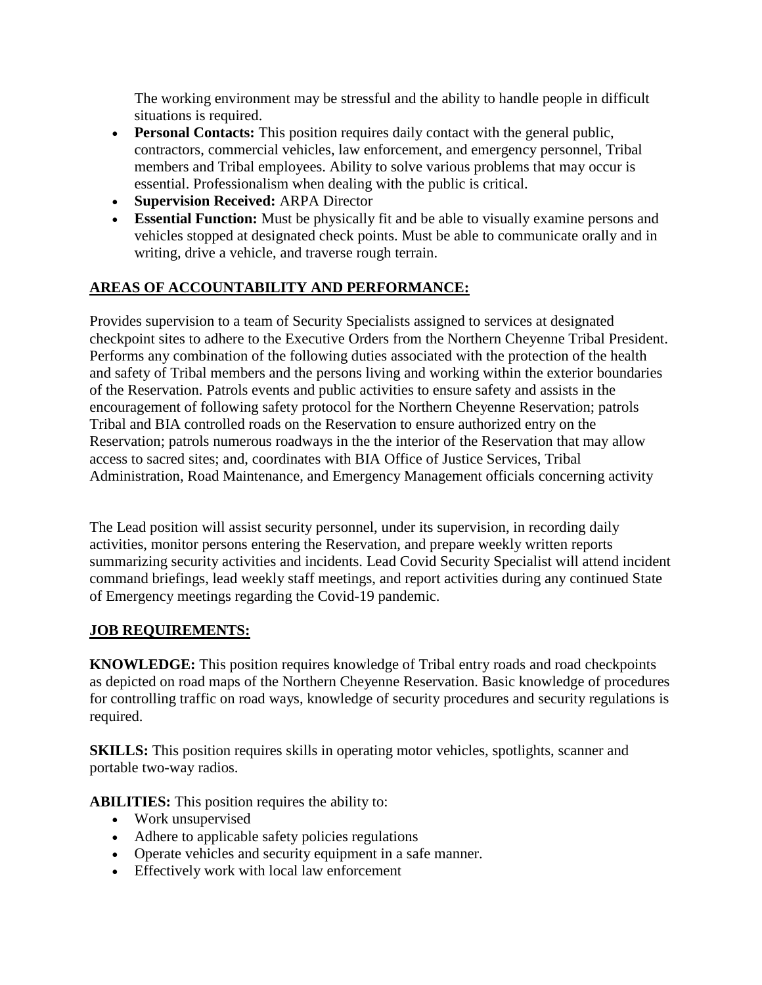The working environment may be stressful and the ability to handle people in difficult situations is required.

- **Personal Contacts:** This position requires daily contact with the general public, contractors, commercial vehicles, law enforcement, and emergency personnel, Tribal members and Tribal employees. Ability to solve various problems that may occur is essential. Professionalism when dealing with the public is critical.
- **Supervision Received:** ARPA Director
- **Essential Function:** Must be physically fit and be able to visually examine persons and vehicles stopped at designated check points. Must be able to communicate orally and in writing, drive a vehicle, and traverse rough terrain.

# **AREAS OF ACCOUNTABILITY AND PERFORMANCE:**

Provides supervision to a team of Security Specialists assigned to services at designated checkpoint sites to adhere to the Executive Orders from the Northern Cheyenne Tribal President. Performs any combination of the following duties associated with the protection of the health and safety of Tribal members and the persons living and working within the exterior boundaries of the Reservation. Patrols events and public activities to ensure safety and assists in the encouragement of following safety protocol for the Northern Cheyenne Reservation; patrols Tribal and BIA controlled roads on the Reservation to ensure authorized entry on the Reservation; patrols numerous roadways in the the interior of the Reservation that may allow access to sacred sites; and, coordinates with BIA Office of Justice Services, Tribal Administration, Road Maintenance, and Emergency Management officials concerning activity

The Lead position will assist security personnel, under its supervision, in recording daily activities, monitor persons entering the Reservation, and prepare weekly written reports summarizing security activities and incidents. Lead Covid Security Specialist will attend incident command briefings, lead weekly staff meetings, and report activities during any continued State of Emergency meetings regarding the Covid-19 pandemic.

### **JOB REQUIREMENTS:**

**KNOWLEDGE:** This position requires knowledge of Tribal entry roads and road checkpoints as depicted on road maps of the Northern Cheyenne Reservation. Basic knowledge of procedures for controlling traffic on road ways, knowledge of security procedures and security regulations is required.

**SKILLS:** This position requires skills in operating motor vehicles, spotlights, scanner and portable two-way radios.

**ABILITIES:** This position requires the ability to:

- Work unsupervised
- Adhere to applicable safety policies regulations
- Operate vehicles and security equipment in a safe manner.
- Effectively work with local law enforcement